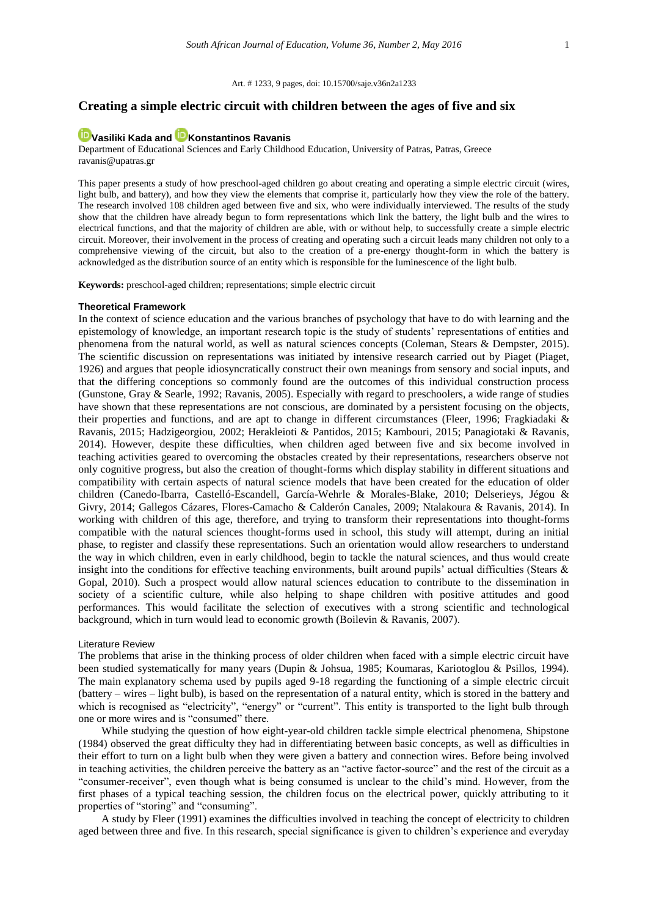#### Art. # 1233, 9 pages, doi: 10.15700/saje.v36n2a1233

# **Creating a simple electric circuit with children between the ages of five and six**

# **[Vasiliki Kada](http://orcid.org/0000-0002-3875-775X) an[d Konstantinos Ravanis](http://orcid.org/0000-0002-4429-3381)**

Department of Educational Sciences and Early Childhood Education, University of Patras, Patras, Greece ravanis@upatras.gr

This paper presents a study of how preschool-aged children go about creating and operating a simple electric circuit (wires, light bulb, and battery), and how they view the elements that comprise it, particularly how they view the role of the battery. The research involved 108 children aged between five and six, who were individually interviewed. The results of the study show that the children have already begun to form representations which link the battery, the light bulb and the wires to electrical functions, and that the majority of children are able, with or without help, to successfully create a simple electric circuit. Moreover, their involvement in the process of creating and operating such a circuit leads many children not only to a comprehensive viewing of the circuit, but also to the creation of a pre-energy thought-form in which the battery is acknowledged as the distribution source of an entity which is responsible for the luminescence of the light bulb.

**Keywords:** preschool-aged children; representations; simple electric circuit

#### **Theoretical Framework**

In the context of science education and the various branches of psychology that have to do with learning and the epistemology of knowledge, an important research topic is the study of students' representations of entities and phenomena from the natural world, as well as natural sciences concepts (Coleman, Stears & Dempster, 2015). The scientific discussion on representations was initiated by intensive research carried out by Piaget (Piaget, 1926) and argues that people idiosyncratically construct their own meanings from sensory and social inputs, and that the differing conceptions so commonly found are the outcomes of this individual construction process (Gunstone, Gray & Searle, 1992; Ravanis, 2005). Especially with regard to preschoolers, a wide range of studies have shown that these representations are not conscious, are dominated by a persistent focusing on the objects, their properties and functions, and are apt to change in different circumstances (Fleer, 1996; Fragkiadaki & Ravanis, 2015; Hadzigeorgiou, 2002; Herakleioti & Pantidos, 2015; Kambouri, 2015; Panagiotaki & Ravanis, 2014). However, despite these difficulties, when children aged between five and six become involved in teaching activities geared to overcoming the obstacles created by their representations, researchers observe not only cognitive progress, but also the creation of thought-forms which display stability in different situations and compatibility with certain aspects of natural science models that have been created for the education of older children (Canedo-Ibarra, Castelló-Escandell, García-Wehrle & Morales-Blake, 2010; Delserieys, Jégou & Givry, 2014; Gallegos Cázares, Flores-Camacho & Calderón Canales, 2009; Ntalakoura & Ravanis, 2014). In working with children of this age, therefore, and trying to transform their representations into thought-forms compatible with the natural sciences thought-forms used in school, this study will attempt, during an initial phase, to register and classify these representations. Such an orientation would allow researchers to understand the way in which children, even in early childhood, begin to tackle the natural sciences, and thus would create insight into the conditions for effective teaching environments, built around pupils' actual difficulties (Stears & Gopal, 2010). Such a prospect would allow natural sciences education to contribute to the dissemination in society of a scientific culture, while also helping to shape children with positive attitudes and good performances. This would facilitate the selection of executives with a strong scientific and technological background, which in turn would lead to economic growth (Boilevin & Ravanis, 2007).

#### Literature Review

The problems that arise in the thinking process of older children when faced with a simple electric circuit have been studied systematically for many years (Dupin & Johsua, 1985; Koumaras, Kariotoglou & Psillos, 1994). The main explanatory schema used by pupils aged 9-18 regarding the functioning of a simple electric circuit (battery – wires – light bulb), is based on the representation of a natural entity, which is stored in the battery and which is recognised as "electricity", "energy" or "current". This entity is transported to the light bulb through one or more wires and is "consumed" there.

While studying the question of how eight-year-old children tackle simple electrical phenomena, Shipstone (1984) observed the great difficulty they had in differentiating between basic concepts, as well as difficulties in their effort to turn on a light bulb when they were given a battery and connection wires. Before being involved in teaching activities, the children perceive the battery as an "active factor-source" and the rest of the circuit as a "consumer-receiver", even though what is being consumed is unclear to the child's mind. However, from the first phases of a typical teaching session, the children focus on the electrical power, quickly attributing to it properties of "storing" and "consuming".

A study by Fleer (1991) examines the difficulties involved in teaching the concept of electricity to children aged between three and five. In this research, special significance is given to children's experience and everyday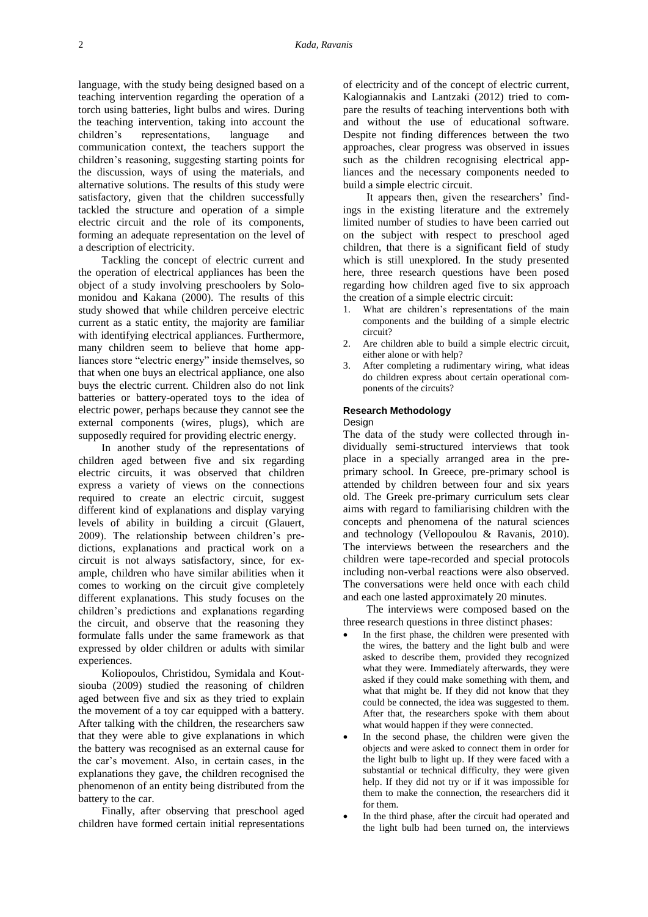language, with the study being designed based on a teaching intervention regarding the operation of a torch using batteries, light bulbs and wires. During the teaching intervention, taking into account the children's representations, language and communication context, the teachers support the children's reasoning, suggesting starting points for the discussion, ways of using the materials, and alternative solutions. The results of this study were satisfactory, given that the children successfully tackled the structure and operation of a simple electric circuit and the role of its components, forming an adequate representation on the level of a description of electricity.

Tackling the concept of electric current and the operation of electrical appliances has been the object of a study involving preschoolers by Solomonidou and Kakana (2000). The results of this study showed that while children perceive electric current as a static entity, the majority are familiar with identifying electrical appliances. Furthermore, many children seem to believe that home appliances store "electric energy" inside themselves, so that when one buys an electrical appliance, one also buys the electric current. Children also do not link batteries or battery-operated toys to the idea of electric power, perhaps because they cannot see the external components (wires, plugs), which are supposedly required for providing electric energy.

In another study of the representations of children aged between five and six regarding electric circuits, it was observed that children express a variety of views on the connections required to create an electric circuit, suggest different kind of explanations and display varying levels of ability in building a circuit (Glauert, 2009). The relationship between children's predictions, explanations and practical work on a circuit is not always satisfactory, since, for example, children who have similar abilities when it comes to working on the circuit give completely different explanations. This study focuses on the children's predictions and explanations regarding the circuit, and observe that the reasoning they formulate falls under the same framework as that expressed by older children or adults with similar experiences.

Koliopoulos, Christidou, Symidala and Koutsiouba (2009) studied the reasoning of children aged between five and six as they tried to explain the movement of a toy car equipped with a battery. After talking with the children, the researchers saw that they were able to give explanations in which the battery was recognised as an external cause for the car's movement. Also, in certain cases, in the explanations they gave, the children recognised the phenomenon of an entity being distributed from the battery to the car.

Finally, after observing that preschool aged children have formed certain initial representations of electricity and of the concept of electric current, Kalogiannakis and Lantzaki (2012) tried to compare the results of teaching interventions both with and without the use of educational software. Despite not finding differences between the two approaches, clear progress was observed in issues such as the children recognising electrical appliances and the necessary components needed to build a simple electric circuit.

It appears then, given the researchers' findings in the existing literature and the extremely limited number of studies to have been carried out on the subject with respect to preschool aged children, that there is a significant field of study which is still unexplored. In the study presented here, three research questions have been posed regarding how children aged five to six approach the creation of a simple electric circuit:

- 1. What are children's representations of the main components and the building of a simple electric circuit?
- 2. Are children able to build a simple electric circuit, either alone or with help?
- 3. After completing a rudimentary wiring, what ideas do children express about certain operational components of the circuits?

## **Research Methodology**

#### Design

The data of the study were collected through individually semi-structured interviews that took place in a specially arranged area in the preprimary school. In Greece, pre-primary school is attended by children between four and six years old. The Greek pre-primary curriculum sets clear aims with regard to familiarising children with the concepts and phenomena of the natural sciences and technology (Vellopoulou & Ravanis, 2010). The interviews between the researchers and the children were tape-recorded and special protocols including non-verbal reactions were also observed. The conversations were held once with each child and each one lasted approximately 20 minutes.

The interviews were composed based on the three research questions in three distinct phases:

- In the first phase, the children were presented with the wires, the battery and the light bulb and were asked to describe them, provided they recognized what they were. Immediately afterwards, they were asked if they could make something with them, and what that might be. If they did not know that they could be connected, the idea was suggested to them. After that, the researchers spoke with them about what would happen if they were connected.
- In the second phase, the children were given the objects and were asked to connect them in order for the light bulb to light up. If they were faced with a substantial or technical difficulty, they were given help. If they did not try or if it was impossible for them to make the connection, the researchers did it for them.
- In the third phase, after the circuit had operated and the light bulb had been turned on, the interviews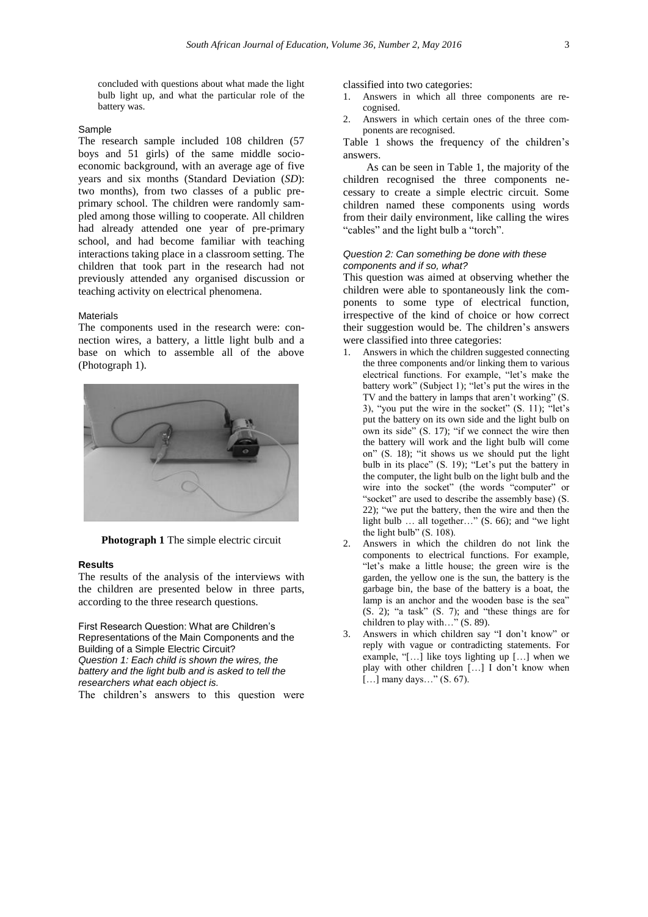concluded with questions about what made the light bulb light up, and what the particular role of the battery was.

#### Sample

The research sample included 108 children (57 boys and 51 girls) of the same middle socioeconomic background, with an average age of five years and six months (Standard Deviation (*SD*): two months), from two classes of a public preprimary school. The children were randomly sampled among those willing to cooperate. All children had already attended one year of pre-primary school, and had become familiar with teaching interactions taking place in a classroom setting. The children that took part in the research had not previously attended any organised discussion or teaching activity on electrical phenomena.

#### **Materials**

The components used in the research were: connection wires, a battery, a little light bulb and a base on which to assemble all of the above (Photograph 1).



**Photograph 1** The simple electric circuit

## **Results**

The results of the analysis of the interviews with the children are presented below in three parts, according to the three research questions.

First Research Question: What are Children's Representations of the Main Components and the Building of a Simple Electric Circuit? *Question 1: Each child is shown the wires, the battery and the light bulb and is asked to tell the researchers what each object is.*

The children's answers to this question were

classified into two categories:

- 1. Answers in which all three components are recognised.
- 2. Answers in which certain ones of the three components are recognised.

Table 1 shows the frequency of the children's answers.

As can be seen in Table 1, the majority of the children recognised the three components necessary to create a simple electric circuit. Some children named these components using words from their daily environment, like calling the wires "cables" and the light bulb a "torch".

#### *Question 2: Can something be done with these components and if so, what?*

This question was aimed at observing whether the children were able to spontaneously link the components to some type of electrical function, irrespective of the kind of choice or how correct their suggestion would be. The children's answers were classified into three categories:

- 1. Answers in which the children suggested connecting the three components and/or linking them to various electrical functions. For example, "let's make the battery work" (Subject 1); "let's put the wires in the TV and the battery in lamps that aren't working" (S. 3), "you put the wire in the socket" (S. 11); "let's put the battery on its own side and the light bulb on own its side" (S. 17); "if we connect the wire then the battery will work and the light bulb will come on" (S. 18); "it shows us we should put the light bulb in its place" (S. 19); "Let's put the battery in the computer, the light bulb on the light bulb and the wire into the socket" (the words "computer" or "socket" are used to describe the assembly base) (S. 22); "we put the battery, then the wire and then the light bulb … all together…" (S. 66); and "we light the light bulb" (S. 108).
- 2. Answers in which the children do not link the components to electrical functions. For example, "let's make a little house; the green wire is the garden, the yellow one is the sun, the battery is the garbage bin, the base of the battery is a boat, the lamp is an anchor and the wooden base is the sea" (S. 2); "a task" (S. 7); and "these things are for children to play with…" (S. 89).
- 3. Answers in which children say "I don't know" or reply with vague or contradicting statements. For example, "[…] like toys lighting up […] when we play with other children […] I don't know when [...] many days..." (S. 67).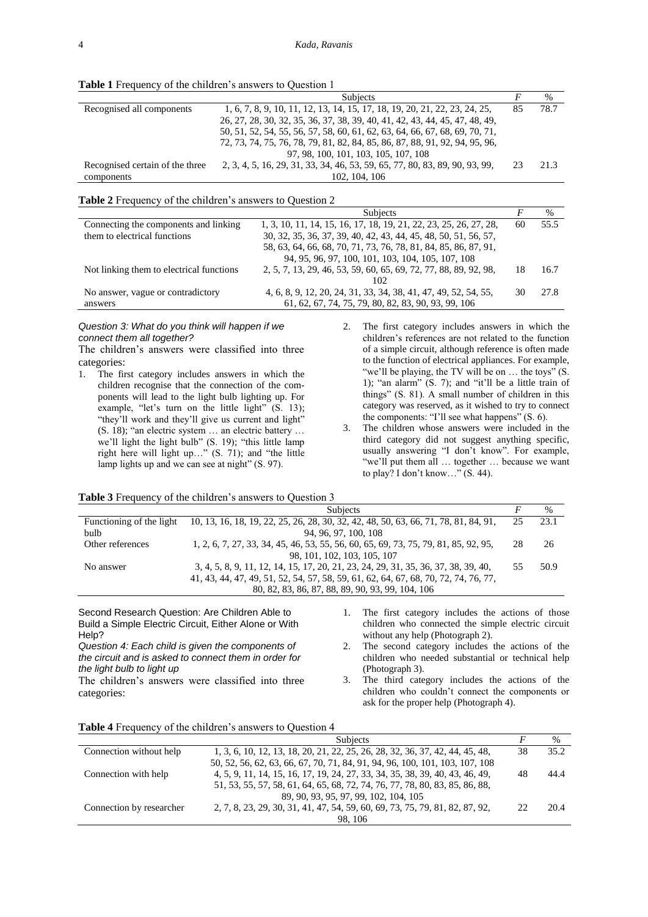**Table 1** Frequency of the children's answers to Question 1

|                                 | <b>Subjects</b>                                                             |    | $\%$ |
|---------------------------------|-----------------------------------------------------------------------------|----|------|
| Recognised all components       | 1, 6, 7, 8, 9, 10, 11, 12, 13, 14, 15, 17, 18, 19, 20, 21, 22, 23, 24, 25,  | 85 | 78.7 |
|                                 | 26, 27, 28, 30, 32, 35, 36, 37, 38, 39, 40, 41, 42, 43, 44, 45, 47, 48, 49, |    |      |
|                                 | 50, 51, 52, 54, 55, 56, 57, 58, 60, 61, 62, 63, 64, 66, 67, 68, 69, 70, 71, |    |      |
|                                 | 72, 73, 74, 75, 76, 78, 79, 81, 82, 84, 85, 86, 87, 88, 91, 92, 94, 95, 96, |    |      |
|                                 | 97, 98, 100, 101, 103, 105, 107, 108                                        |    |      |
| Recognised certain of the three | 2, 3, 4, 5, 16, 29, 31, 33, 34, 46, 53, 59, 65, 77, 80, 83, 89, 90, 93, 99, | 23 | 21.3 |
| components                      | 102, 104, 106                                                               |    |      |

#### **Table 2** Frequency of the children's answers to Question 2

|                                          | Subjects                                                          |    | $\frac{0}{0}$ |
|------------------------------------------|-------------------------------------------------------------------|----|---------------|
| Connecting the components and linking    | 1, 3, 10, 11, 14, 15, 16, 17, 18, 19, 21, 22, 23, 25, 26, 27, 28, | 60 | 55.5          |
| them to electrical functions             | 30, 32, 35, 36, 37, 39, 40, 42, 43, 44, 45, 48, 50, 51, 56, 57,   |    |               |
|                                          | 58, 63, 64, 66, 68, 70, 71, 73, 76, 78, 81, 84, 85, 86, 87, 91,   |    |               |
|                                          | 94, 95, 96, 97, 100, 101, 103, 104, 105, 107, 108                 |    |               |
| Not linking them to electrical functions | 2, 5, 7, 13, 29, 46, 53, 59, 60, 65, 69, 72, 77, 88, 89, 92, 98,  | 18 | 16.7          |
|                                          | 102                                                               |    |               |
| No answer, vague or contradictory        | 4, 6, 8, 9, 12, 20, 24, 31, 33, 34, 38, 41, 47, 49, 52, 54, 55,   | 30 | 27.8          |
| answers                                  | 61, 62, 67, 74, 75, 79, 80, 82, 83, 90, 93, 99, 106               |    |               |

## *Question 3: What do you think will happen if we connect them all together?*

The children's answers were classified into three categories:

1. The first category includes answers in which the children recognise that the connection of the components will lead to the light bulb lighting up. For example, "let's turn on the little light" (S. 13); "they'll work and they'll give us current and light" (S. 18); "an electric system … an electric battery … we'll light the light bulb" (S. 19); "this little lamp right here will light up…" (S. 71); and "the little lamp lights up and we can see at night" (S. 97).

2. The first category includes answers in which the children's references are not related to the function of a simple circuit, although reference is often made to the function of electrical appliances. For example, "we'll be playing, the TV will be on ... the toys" (S. 1); "an alarm" (S. 7); and "it'll be a little train of things" (S. 81). A small number of children in this category was reserved, as it wished to try to connect the components: "I'll see what happens" (S. 6).

3. The children whose answers were included in the third category did not suggest anything specific, usually answering "I don't know". For example, "we'll put them all … together … because we want to play? I don't know…" (S. 44).

## **Table 3** Frequency of the children's answers to Question 3

|                  | <b>Subjects</b>                                                                                              |    | $\%$ |
|------------------|--------------------------------------------------------------------------------------------------------------|----|------|
|                  | Functioning of the light 10, 13, 16, 18, 19, 22, 25, 26, 28, 30, 32, 42, 48, 50, 63, 66, 71, 78, 81, 84, 91, | 25 | 23.1 |
| bulb             | 94, 96, 97, 100, 108                                                                                         |    |      |
| Other references | 1, 2, 6, 7, 27, 33, 34, 45, 46, 53, 55, 56, 60, 65, 69, 73, 75, 79, 81, 85, 92, 95,                          | 28 | 26   |
|                  | 98, 101, 102, 103, 105, 107                                                                                  |    |      |
| No answer        | 3, 4, 5, 8, 9, 11, 12, 14, 15, 17, 20, 21, 23, 24, 29, 31, 35, 36, 37, 38, 39, 40,                           | 55 | 50.9 |
|                  | 41, 43, 44, 47, 49, 51, 52, 54, 57, 58, 59, 61, 62, 64, 67, 68, 70, 72, 74, 76, 77,                          |    |      |
|                  | 80, 82, 83, 86, 87, 88, 89, 90, 93, 99, 104, 106                                                             |    |      |

Second Research Question: Are Children Able to Build a Simple Electric Circuit, Either Alone or With Help? *Question 4: Each child is given the components of* 

*the circuit and is asked to connect them in order for* 

The children's answers were classified into three

*the light bulb to light up*

categories:

children who connected the simple electric circuit without any help (Photograph 2). 2. The second category includes the actions of the

1. The first category includes the actions of those

children who needed substantial or technical help (Photograph 3).

3. The third category includes the actions of the children who couldn't connect the components or ask for the proper help (Photograph 4).

|                          | <b>Subjects</b>                                                              |    | $\%$ |
|--------------------------|------------------------------------------------------------------------------|----|------|
| Connection without help  | 1, 3, 6, 10, 12, 13, 18, 20, 21, 22, 25, 26, 28, 32, 36, 37, 42, 44, 45, 48, | 38 | 35.2 |
|                          | 50, 52, 56, 62, 63, 66, 67, 70, 71, 84, 91, 94, 96, 100, 101, 103, 107, 108  |    |      |
| Connection with help     | 4, 5, 9, 11, 14, 15, 16, 17, 19, 24, 27, 33, 34, 35, 38, 39, 40, 43, 46, 49, | 48 | 44.4 |
|                          | 51, 53, 55, 57, 58, 61, 64, 65, 68, 72, 74, 76, 77, 78, 80, 83, 85, 86, 88,  |    |      |
|                          | 89, 90, 93, 95, 97, 99, 102, 104, 105                                        |    |      |
| Connection by researcher | 2, 7, 8, 23, 29, 30, 31, 41, 47, 54, 59, 60, 69, 73, 75, 79, 81, 82, 87, 92, | つつ | 20.4 |
|                          | 98.106                                                                       |    |      |

# **Table 4** Frequency of the children's answers to Question 4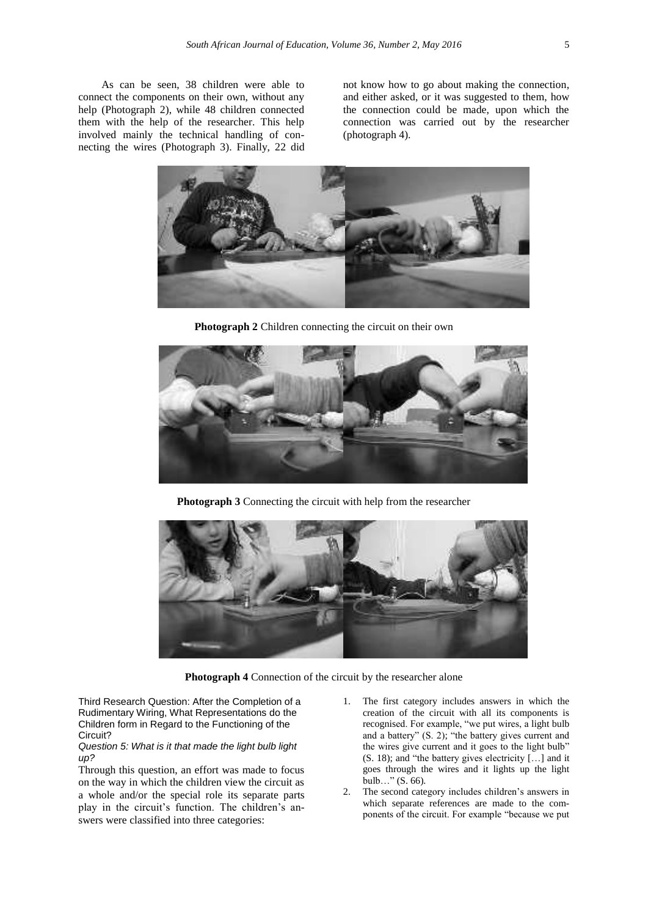As can be seen, 38 children were able to connect the components on their own, without any help (Photograph 2), while 48 children connected them with the help of the researcher. This help involved mainly the technical handling of connecting the wires (Photograph 3). Finally, 22 did not know how to go about making the connection, and either asked, or it was suggested to them, how the connection could be made, upon which the connection was carried out by the researcher (photograph 4).



**Photograph 2** Children connecting the circuit on their own



**Photograph 3** Connecting the circuit with help from the researcher



**Photograph 4** Connection of the circuit by the researcher alone

Third Research Question: After the Completion of a Rudimentary Wiring, What Representations do the Children form in Regard to the Functioning of the Circuit?

*Question 5: What is it that made the light bulb light up?*

Through this question, an effort was made to focus on the way in which the children view the circuit as a whole and/or the special role its separate parts play in the circuit's function. The children's answers were classified into three categories:

- 1. The first category includes answers in which the creation of the circuit with all its components is recognised. For example, "we put wires, a light bulb and a battery" (S. 2); "the battery gives current and the wires give current and it goes to the light bulb" (S. 18); and "the battery gives electricity […] and it goes through the wires and it lights up the light bulb…" (S. 66).
- 2. The second category includes children's answers in which separate references are made to the components of the circuit. For example "because we put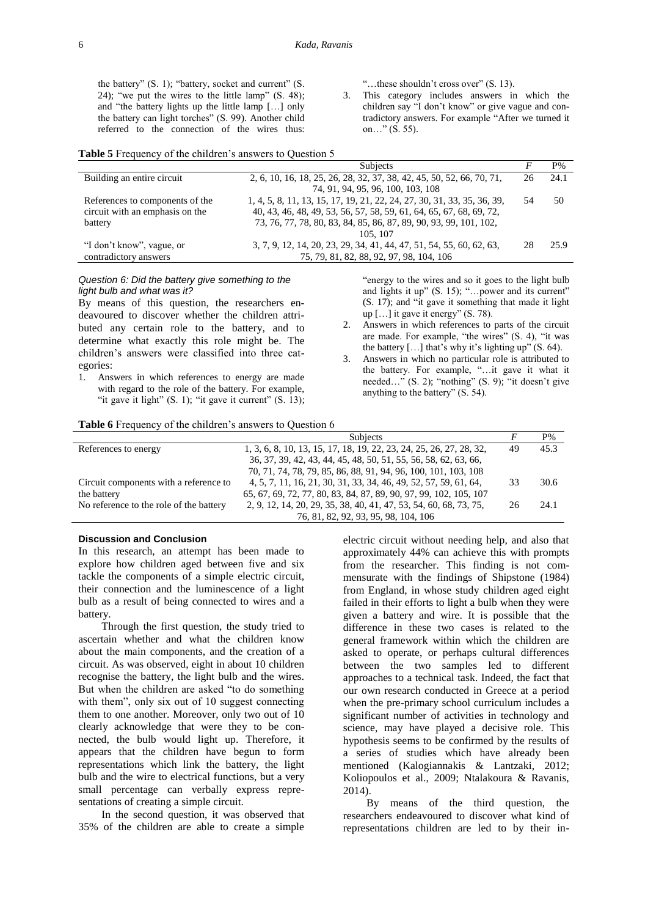the battery" (S. 1); "battery, socket and current" (S. 24); "we put the wires to the little lamp" (S. 48); and "the battery lights up the little lamp […] only the battery can light torches" (S. 99). Another child referred to the connection of the wires thus:

"…these shouldn't cross over" (S. 13).

3. This category includes answers in which the children say "I don't know" or give vague and contradictory answers. For example "After we turned it on…" (S. 55).

#### **Table 5** Frequency of the children's answers to Question 5

|                                 | <b>Subjects</b>                                                         |     | P%   |
|---------------------------------|-------------------------------------------------------------------------|-----|------|
| Building an entire circuit      | 2, 6, 10, 16, 18, 25, 26, 28, 32, 37, 38, 42, 45, 50, 52, 66, 70, 71,   | 26  | 24.1 |
|                                 | 74, 91, 94, 95, 96, 100, 103, 108                                       |     |      |
| References to components of the | 1, 4, 5, 8, 11, 13, 15, 17, 19, 21, 22, 24, 27, 30, 31, 33, 35, 36, 39, | .54 | 50   |
| circuit with an emphasis on the | 40, 43, 46, 48, 49, 53, 56, 57, 58, 59, 61, 64, 65, 67, 68, 69, 72,     |     |      |
| battery                         | 73, 76, 77, 78, 80, 83, 84, 85, 86, 87, 89, 90, 93, 99, 101, 102,       |     |      |
|                                 | 105, 107                                                                |     |      |
| "I don't know", vague, or       | 3, 7, 9, 12, 14, 20, 23, 29, 34, 41, 44, 47, 51, 54, 55, 60, 62, 63,    | 28  | 25.9 |
| contradictory answers           | 75, 79, 81, 82, 88, 92, 97, 98, 104, 106                                |     |      |

### *Question 6: Did the battery give something to the light bulb and what was it?*

By means of this question, the researchers endeavoured to discover whether the children attributed any certain role to the battery, and to determine what exactly this role might be. The children's answers were classified into three categories:

1. Answers in which references to energy are made with regard to the role of the battery. For example, "it gave it light"  $(S, 1)$ ; "it gave it current"  $(S, 13)$ ; "energy to the wires and so it goes to the light bulb and lights it up" (S. 15); "…power and its current" (S. 17); and "it gave it something that made it light up […] it gave it energy" (S. 78).

- 2. Answers in which references to parts of the circuit are made. For example, "the wires" (S. 4), "it was the battery  $[...]$  that's why it's lighting up"  $(S. 64)$ .
- 3. Answers in which no particular role is attributed to the battery. For example, "…it gave it what it needed…" (S. 2); "nothing" (S. 9); "it doesn't give anything to the battery" (S. 54).

### **Table 6** Frequency of the children's answers to Ouestion 6

|                                         | Subjects                                                            |    | $P\%$ |
|-----------------------------------------|---------------------------------------------------------------------|----|-------|
| References to energy                    | 1, 3, 6, 8, 10, 13, 15, 17, 18, 19, 22, 23, 24, 25, 26, 27, 28, 32, | 49 | 45.3  |
|                                         | 36, 37, 39, 42, 43, 44, 45, 48, 50, 51, 55, 56, 58, 62, 63, 66,     |    |       |
|                                         | 70, 71, 74, 78, 79, 85, 86, 88, 91, 94, 96, 100, 101, 103, 108      |    |       |
| Circuit components with a reference to  | 4, 5, 7, 11, 16, 21, 30, 31, 33, 34, 46, 49, 52, 57, 59, 61, 64,    | 33 | 30.6  |
| the battery                             | 65, 67, 69, 72, 77, 80, 83, 84, 87, 89, 90, 97, 99, 102, 105, 107   |    |       |
| No reference to the role of the battery | 2, 9, 12, 14, 20, 29, 35, 38, 40, 41, 47, 53, 54, 60, 68, 73, 75,   | 26 | 24.1  |
|                                         | 76, 81, 82, 92, 93, 95, 98, 104, 106                                |    |       |

# **Discussion and Conclusion**

In this research, an attempt has been made to explore how children aged between five and six tackle the components of a simple electric circuit, their connection and the luminescence of a light bulb as a result of being connected to wires and a battery.

Through the first question, the study tried to ascertain whether and what the children know about the main components, and the creation of a circuit. As was observed, eight in about 10 children recognise the battery, the light bulb and the wires. But when the children are asked "to do something with them", only six out of 10 suggest connecting them to one another. Moreover, only two out of 10 clearly acknowledge that were they to be connected, the bulb would light up. Therefore, it appears that the children have begun to form representations which link the battery, the light bulb and the wire to electrical functions, but a very small percentage can verbally express representations of creating a simple circuit.

In the second question, it was observed that 35% of the children are able to create a simple

electric circuit without needing help, and also that approximately 44% can achieve this with prompts from the researcher. This finding is not commensurate with the findings of Shipstone (1984) from England, in whose study children aged eight failed in their efforts to light a bulb when they were given a battery and wire. It is possible that the difference in these two cases is related to the general framework within which the children are asked to operate, or perhaps cultural differences between the two samples led to different approaches to a technical task. Indeed, the fact that our own research conducted in Greece at a period when the pre-primary school curriculum includes a significant number of activities in technology and science, may have played a decisive role. This hypothesis seems to be confirmed by the results of a series of studies which have already been mentioned (Kalogiannakis & Lantzaki, 2012; Koliopoulos et al., 2009; Ntalakoura & Ravanis, 2014).

By means of the third question, the researchers endeavoured to discover what kind of representations children are led to by their in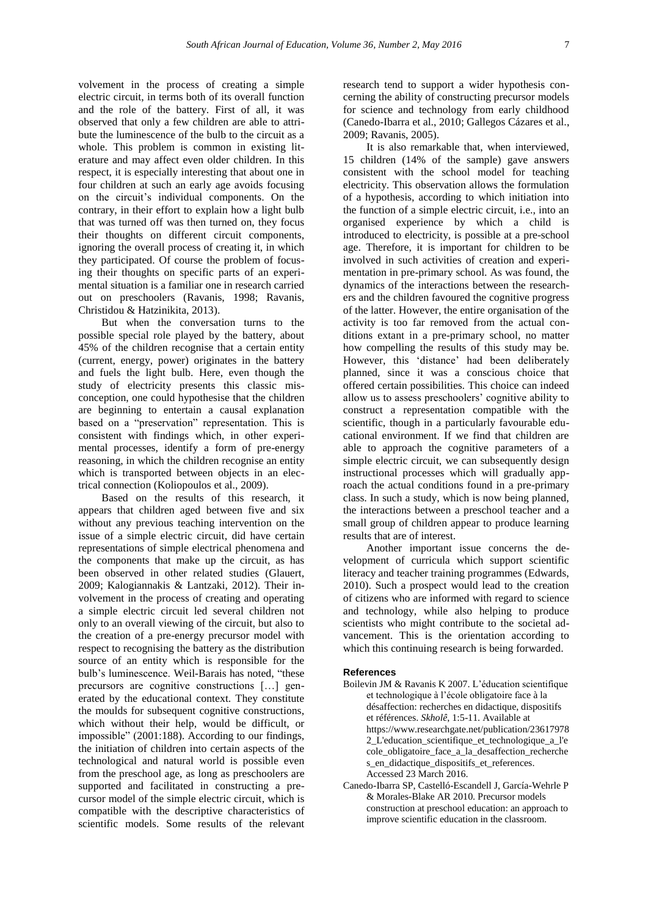volvement in the process of creating a simple electric circuit, in terms both of its overall function and the role of the battery. First of all, it was observed that only a few children are able to attribute the luminescence of the bulb to the circuit as a whole. This problem is common in existing literature and may affect even older children. In this respect, it is especially interesting that about one in four children at such an early age avoids focusing on the circuit's individual components. On the contrary, in their effort to explain how a light bulb that was turned off was then turned on, they focus their thoughts on different circuit components, ignoring the overall process of creating it, in which they participated. Of course the problem of focusing their thoughts on specific parts of an experimental situation is a familiar one in research carried out on preschoolers (Ravanis, 1998; Ravanis, Christidou & Hatzinikita, 2013).

But when the conversation turns to the possible special role played by the battery, about 45% of the children recognise that a certain entity (current, energy, power) originates in the battery and fuels the light bulb. Here, even though the study of electricity presents this classic misconception, one could hypothesise that the children are beginning to entertain a causal explanation based on a "preservation" representation. This is consistent with findings which, in other experimental processes, identify a form of pre-energy reasoning, in which the children recognise an entity which is transported between objects in an electrical connection (Koliopoulos et al., 2009).

Based on the results of this research, it appears that children aged between five and six without any previous teaching intervention on the issue of a simple electric circuit, did have certain representations of simple electrical phenomena and the components that make up the circuit, as has been observed in other related studies (Glauert, 2009; Kalogiannakis & Lantzaki, 2012). Their involvement in the process of creating and operating a simple electric circuit led several children not only to an overall viewing of the circuit, but also to the creation of a pre-energy precursor model with respect to recognising the battery as the distribution source of an entity which is responsible for the bulb's luminescence. Weil-Barais has noted, "these precursors are cognitive constructions […] generated by the educational context. They constitute the moulds for subsequent cognitive constructions, which without their help, would be difficult, or impossible" (2001:188). According to our findings, the initiation of children into certain aspects of the technological and natural world is possible even from the preschool age, as long as preschoolers are supported and facilitated in constructing a precursor model of the simple electric circuit, which is compatible with the descriptive characteristics of scientific models. Some results of the relevant

research tend to support a wider hypothesis concerning the ability of constructing precursor models for science and technology from early childhood (Canedo-Ibarra et al., 2010; Gallegos Cázares et al., 2009; Ravanis, 2005).

It is also remarkable that, when interviewed, 15 children (14% of the sample) gave answers consistent with the school model for teaching electricity. This observation allows the formulation of a hypothesis, according to which initiation into the function of a simple electric circuit, i.e., into an organised experience by which a child is introduced to electricity, is possible at a pre-school age. Therefore, it is important for children to be involved in such activities of creation and experimentation in pre-primary school. As was found, the dynamics of the interactions between the researchers and the children favoured the cognitive progress of the latter. However, the entire organisation of the activity is too far removed from the actual conditions extant in a pre-primary school, no matter how compelling the results of this study may be. However, this 'distance' had been deliberately planned, since it was a conscious choice that offered certain possibilities. This choice can indeed allow us to assess preschoolers' cognitive ability to construct a representation compatible with the scientific, though in a particularly favourable educational environment. If we find that children are able to approach the cognitive parameters of a simple electric circuit, we can subsequently design instructional processes which will gradually approach the actual conditions found in a pre-primary class. In such a study, which is now being planned, the interactions between a preschool teacher and a small group of children appear to produce learning results that are of interest.

Another important issue concerns the development of curricula which support scientific literacy and teacher training programmes (Edwards, 2010). Such a prospect would lead to the creation of citizens who are informed with regard to science and technology, while also helping to produce scientists who might contribute to the societal advancement. This is the orientation according to which this continuing research is being forwarded.

#### **References**

- Boilevin JM & Ravanis K 2007. L'éducation scientifique et technologique à l'école obligatoire face à la désaffection: recherches en didactique, dispositifs et références. *Skholê*, 1:5-11. Available at [https://www.researchgate.net/publication/23617978](https://www.researchgate.net/publication/236179782_L) [2\\_L'education\\_scientifique\\_et\\_technologique\\_a\\_l'e](https://www.researchgate.net/publication/236179782_L) [cole\\_obligatoire\\_face\\_a\\_la\\_desaffection\\_recherche](https://www.researchgate.net/publication/236179782_L) [s\\_en\\_didactique\\_dispositifs\\_et\\_references.](https://www.researchgate.net/publication/236179782_L) Accessed 23 March 2016.
- Canedo-Ibarra SP, Castelló-Escandell J, García-Wehrle P & Morales-Blake AR 2010. Precursor models construction at preschool education: an approach to improve scientific education in the classroom.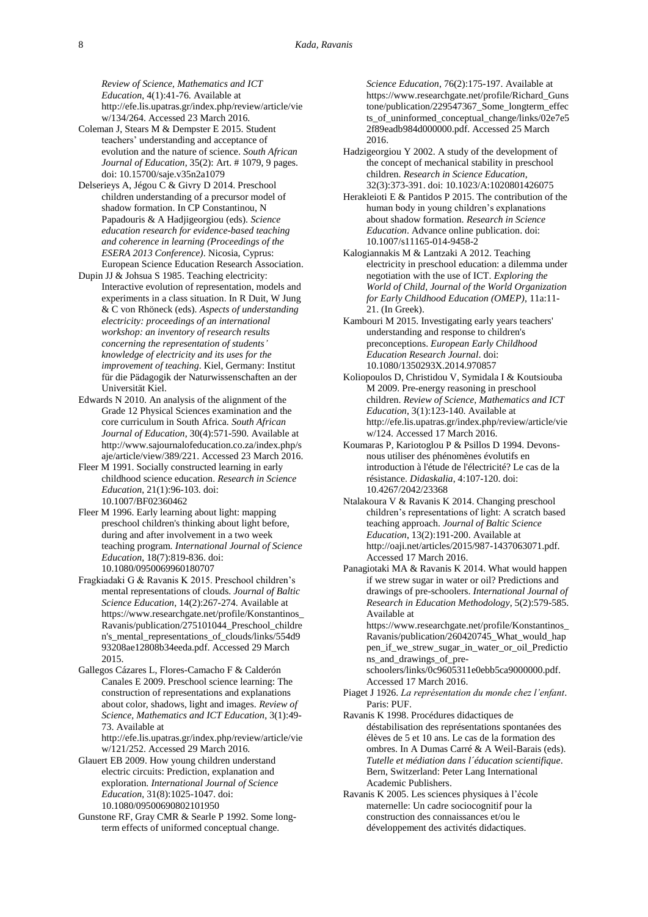*Review of Science, Mathematics and ICT Education*, 4(1):41-76. Available at [http://efe.lis.upatras.gr/index.php/review/article/vie](http://efe.lis.upatras.gr/index.php/review/article/view/134/264) [w/134/264.](http://efe.lis.upatras.gr/index.php/review/article/view/134/264) Accessed 23 March 2016.

- Coleman J, Stears M & Dempster E 2015. Student teachers' understanding and acceptance of evolution and the nature of science. *South African Journal of Education*, 35(2): Art. # 1079, 9 pages. [doi: 10.15700/saje.v35n2a1079](http://www.sajournalofeducation.co.za/index.php/saje/article/view/1079/543)
- Delserieys A, Jégou C & Givry D 2014. Preschool children understanding of a precursor model of shadow formation. In CP Constantinou, N Papadouris & A Hadjigeorgiou (eds). *Science education research for evidence-based teaching and coherence in learning (Proceedings of the ESERA 2013 Conference)*. Nicosia, Cyprus: European Science Education Research Association.
- Dupin JJ & Johsua S 1985. Teaching electricity: Interactive evolution of representation, models and experiments in a class situation. In R Duit, W Jung & C von Rhöneck (eds). *Aspects of understanding electricity: proceedings of an international workshop: an inventory of research results concerning the representation of students' knowledge of electricity and its uses for the improvement of teaching*. Kiel, Germany: Institut für die Pädagogik der Naturwissenschaften an der Universität Kiel.
- Edwards N 2010. An analysis of the alignment of the Grade 12 Physical Sciences examination and the core curriculum in South Africa. *South African Journal of Education*, 30(4):571-590. Available at [http://www.sajournalofeducation.co.za/index.php/s](http://www.sajournalofeducation.co.za/index.php/saje/article/view/389/221) [aje/article/view/389/221.](http://www.sajournalofeducation.co.za/index.php/saje/article/view/389/221) Accessed 23 March 2016.
- Fleer M 1991. Socially constructed learning in early childhood science education. *Research in Science Education*, 21(1):96-103. [doi:](http://link.springer.com/article/10.1007/BF02360462)  [10.1007/BF02360462](http://link.springer.com/article/10.1007/BF02360462)
- Fleer M 1996. Early learning about light: mapping preschool children's thinking about light before, during and after involvement in a two week teaching program. *International Journal of Science Education*, 18(7):819-836. [doi:](http://www.tandfonline.com/doi/abs/10.1080/0950069960180707?journalCode=tsed20)  [10.1080/0950069960180707](http://www.tandfonline.com/doi/abs/10.1080/0950069960180707?journalCode=tsed20)
- Fragkiadaki G & Ravanis K 2015. Preschool children's mental representations of clouds. *Journal of Baltic Science Education*, 14(2):267-274. Available at [https://www.researchgate.net/profile/Konstantinos\\_](https://www.researchgate.net/profile/Konstantinos_Ravanis/publication/275101044_Preschool_children) [Ravanis/publication/275101044\\_Preschool\\_childre](https://www.researchgate.net/profile/Konstantinos_Ravanis/publication/275101044_Preschool_children) [n's\\_mental\\_representations\\_of\\_clouds/links/554d9](https://www.researchgate.net/profile/Konstantinos_Ravanis/publication/275101044_Preschool_children) [93208ae12808b34eeda.pdf.](https://www.researchgate.net/profile/Konstantinos_Ravanis/publication/275101044_Preschool_children) Accessed 29 March 2015.
- Gallegos Cázares L, Flores-Camacho F & Calderón Canales E 2009. Preschool science learning: The construction of representations and explanations about color, shadows, light and images. *Review of Science, Mathematics and ICT Education*, 3(1):49- 73. Available at

[http://efe.lis.upatras.gr/index.php/review/article/vie](http://efe.lis.upatras.gr/index.php/review/article/view/121/252) [w/121/252.](http://efe.lis.upatras.gr/index.php/review/article/view/121/252) Accessed 29 March 2016.

- Glauert EB 2009. How young children understand electric circuits: Prediction, explanation and exploration. *International Journal of Science Education*, 31(8):1025-1047. [doi:](http://www.tandfonline.com/doi/abs/10.1080/09500690802101950)  [10.1080/09500690802101950](http://www.tandfonline.com/doi/abs/10.1080/09500690802101950)
- Gunstone RF, Gray CMR & Searle P 1992. Some longterm effects of uniformed conceptual change.

*Science Education*, 76(2):175-197. Available at [https://www.researchgate.net/profile/Richard\\_Guns](https://www.researchgate.net/profile/Richard_Gunstone/publication/229547367_Some_longterm_effects_of_uninformed_conceptual_change/links/02e7e52f89eadb984d000000.pdf) [tone/publication/229547367\\_Some\\_longterm\\_effec](https://www.researchgate.net/profile/Richard_Gunstone/publication/229547367_Some_longterm_effects_of_uninformed_conceptual_change/links/02e7e52f89eadb984d000000.pdf) [ts\\_of\\_uninformed\\_conceptual\\_change/links/02e7e5](https://www.researchgate.net/profile/Richard_Gunstone/publication/229547367_Some_longterm_effects_of_uninformed_conceptual_change/links/02e7e52f89eadb984d000000.pdf) [2f89eadb984d000000.pdf.](https://www.researchgate.net/profile/Richard_Gunstone/publication/229547367_Some_longterm_effects_of_uninformed_conceptual_change/links/02e7e52f89eadb984d000000.pdf) Accessed 25 March 2016.

- Hadzigeorgiou Y 2002. A study of the development of the concept of mechanical stability in preschool children. *Research in Science Education*, 32(3):373-391. [doi: 10.1023/A:1020801426075](http://link.springer.com/article/10.1023/A:1020801426075)
- Herakleioti E & Pantidos P 2015. The contribution of the human body in young children's explanations about shadow formation. *Research in Science Education*. Advance online publication[. doi:](http://link.springer.com/article/10.1007/s11165-014-9458-2)  [10.1007/s11165-014-9458-2](http://link.springer.com/article/10.1007/s11165-014-9458-2)
- Kalogiannakis M & Lantzaki A 2012. Teaching electricity in preschool education: a dilemma under negotiation with the use of ICT. *Exploring the World of Child, Journal of the World Organization for Early Childhood Education (OMEP)*, 11a:11- 21. (In Greek).
- Kambouri M 2015. Investigating early years teachers' understanding and response to children's preconceptions. *European Early Childhood Education Research Journal*[. doi:](http://www.tandfonline.com/doi/abs/10.1080/1350293X.2014.970857) [10.1080/1350293X.2014.970857](http://www.tandfonline.com/doi/abs/10.1080/1350293X.2014.970857)
- Koliopoulos D, Christidou V, Symidala I & Koutsiouba M 2009. Pre-energy reasoning in preschool children. *Review of Science, Mathematics and ICT Education*, 3(1):123-140. Available at [http://efe.lis.upatras.gr/index.php/review/article/vie](http://efe.lis.upatras.gr/index.php/review/article/view/124) [w/124.](http://efe.lis.upatras.gr/index.php/review/article/view/124) Accessed 17 March 2016.
- Koumaras P, Kariotoglou P & Psillos D 1994. Devonsnous utiliser des phénomènes évolutifs en introduction à l'étude de l'électricité? Le cas de la résistance. *Didaskalia*, 4:107-120. [doi:](http://documents.irevues.inist.fr/handle/2042/23368)  [10.4267/2042/23368](http://documents.irevues.inist.fr/handle/2042/23368)
- Ntalakoura V & Ravanis K 2014. Changing preschool children's representations of light: A scratch based teaching approach. *Journal of Baltic Science Education*, 13(2):191-200. Available at [http://oaji.net/articles/2015/987-1437063071.pdf.](http://oaji.net/articles/2015/987-1437063071.pdf) Accessed 17 March 2016.
- Panagiotaki MA & Ravanis K 2014. What would happen if we strew sugar in water or oil? Predictions and drawings of pre-schoolers. *International Journal of Research in Education Methodology*, 5(2):579-585. Available at

[https://www.researchgate.net/profile/Konstantinos\\_](https://www.researchgate.net/profile/Konstantinos_Ravanis/publication/260420745_What_would_happen_if_we_strew_sugar_in_water_or_oil_Predictions_and_drawings_of_pre-schoolers/links/0c9605311e0ebb5ca9000000.pdf) [Ravanis/publication/260420745\\_What\\_would\\_hap](https://www.researchgate.net/profile/Konstantinos_Ravanis/publication/260420745_What_would_happen_if_we_strew_sugar_in_water_or_oil_Predictions_and_drawings_of_pre-schoolers/links/0c9605311e0ebb5ca9000000.pdf) [pen\\_if\\_we\\_strew\\_sugar\\_in\\_water\\_or\\_oil\\_Predictio](https://www.researchgate.net/profile/Konstantinos_Ravanis/publication/260420745_What_would_happen_if_we_strew_sugar_in_water_or_oil_Predictions_and_drawings_of_pre-schoolers/links/0c9605311e0ebb5ca9000000.pdf) [ns\\_and\\_drawings\\_of\\_pre-](https://www.researchgate.net/profile/Konstantinos_Ravanis/publication/260420745_What_would_happen_if_we_strew_sugar_in_water_or_oil_Predictions_and_drawings_of_pre-schoolers/links/0c9605311e0ebb5ca9000000.pdf)

[schoolers/links/0c9605311e0ebb5ca9000000.pdf.](https://www.researchgate.net/profile/Konstantinos_Ravanis/publication/260420745_What_would_happen_if_we_strew_sugar_in_water_or_oil_Predictions_and_drawings_of_pre-schoolers/links/0c9605311e0ebb5ca9000000.pdf) Accessed 17 March 2016.

- Piaget J 1926. *La représentation du monde chez l'enfant*. Paris: PUF.
- Ravanis K 1998. Procédures didactiques de déstabilisation des représentations spontanées des élèves de 5 et 10 ans. Le cas de la formation des ombres. In A Dumas Carré & A Weil-Barais (eds). *Tutelle et médiation dans l´éducation scientifique*. Bern, Switzerland: Peter Lang International Academic Publishers.
- Ravanis K 2005. Les sciences physiques à l'école maternelle: Un cadre sociocognitif pour la construction des connaissances et/ou le développement des activités didactiques.